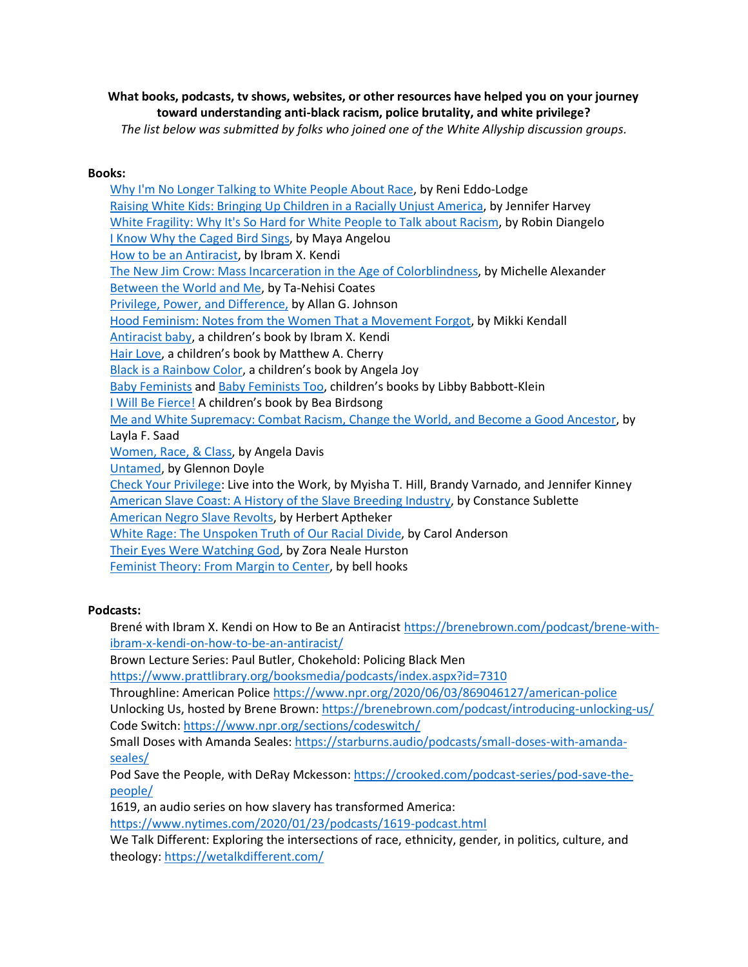**What books, podcasts, tv shows, websites, or other resources have helped you on your journey toward understanding anti-black racism, police brutality, and white privilege?** *The list below was submitted by folks who joined one of the White Allyship discussion groups.*

# **Books:**

[Why I'm No Longer Talking to White People About Race,](https://bookshop.org/books/why-i-m-no-longer-talking-to-white-people-about-race/9781635572957) by Reni Eddo-Lodge [Raising White Kids: Bringing Up Children in a Racially Unjust America,](https://bookshop.org/books/raising-white-kids-bringing-up-children-in-a-racially-unjust-america/9781501878077) by Jennifer Harvey [White Fragility: Why It's So Hard for White People to Talk about Racism,](https://bookshop.org/books/white-fragility-why-it-s-so-hard-for-white-people-to-talk-about-racism/9780807047415) by Robin Diangelo [I Know Why the Caged Bird Sings,](https://bookshop.org/books/i-know-why-the-caged-bird-sings/9780345514400) by Maya Angelou [How to be an Antiracist,](https://bookshop.org/books/how-to-be-an-antiracist/9780525509288) by Ibram X. Kendi [The New Jim Crow: Mass Incarceration in the Age of Colorblindness,](https://bookshop.org/books/the-new-jim-crow-mass-incarceration-in-the-age-of-colorblindness-anniversary/9781620971932) by Michelle Alexander [Between the World and Me,](https://bookshop.org/books/between-the-world-and-me/9780812993547) by Ta-Nehisi Coates [Privilege, Power, and Difference,](https://www.secondsale.com/i/privilege-power-and-difference/9780767422543?gclid=CjwKCAjwlZf3BRABEiwA8Q0qq9qsbil_o5imwdZysDMqXnpAmUI-zxm6XGUSOyNgo8cVph7-CM27uRoC0p8QAvD_BwE) by Allan G. Johnson [Hood Feminism: Notes from the Women That a Movement Forgot,](https://bookshop.org/books/hood-feminism-notes-from-the-women-that-a-movement-forgot/9780525560548) by Mikki Kendall [Antiracist baby](https://bookshop.org/books/antiracist-baby/9780593110416), a children's book by Ibram X. Kendi [Hair Love](https://bookshop.org/books/hair-love/9780525553366), a children's book by Matthew A. Cherry [Black is a Rainbow Color](https://bookshop.org/books/black-is-a-rainbow-color/9781626726314), a children's book by Angela Joy [Baby Feminists](https://bookshop.org/books/baby-feminists/9780451480101) and [Baby Feminists Too](https://bookshop.org/books/baby-feminists-too/9780451480132), children's books by Libby Babbott-Klein [I Will Be Fierce!](https://bookshop.org/books/i-will-be-fierce/9781250295088) A children's book by Bea Birdsong [Me and White Supremacy: Combat Racism, Change the World, and Become a Good Ancestor,](https://bookshop.org/books/me-and-white-supremacy-combat-racism-change-the-world-and-become-a-good-ancestor/9781728209807) by Layla F. Saad [Women, Race, & Class,](https://bookshop.org/books/women-race-class/9780394713519) by Angela Davis [Untamed,](https://bookshop.org/books/untamed-9781984801258/9781984801258) by Glennon Doyle [Check Your Privilege:](https://bookshop.org/books/check-your-privilege-live-into-the-work/9780990522331) Live into the Work, by Myisha T. Hill, Brandy Varnado, and Jennifer Kinney [American Slave Coast: A History of the Slave Breeding Industry,](https://bookshop.org/books/the-american-slave-coast-a-history-of-the-slave-breeding-industry-9781613738931/9781613738931) by Constance Sublette [American Negro Slave Revolts,](https://www.amazon.com/American-Negro-Revolts-Herbert-Aptheker/dp/0717806057) by Herbert Aptheker [White Rage: The Unspoken Truth of Our Racial Divide,](https://bookshop.org/books/white-rage-the-unspoken-truth-of-our-racial-divide/9781632864130) by Carol Anderson [Their Eyes Were Watching God,](https://bookshop.org/books/their-eyes-were-watching-god/9780061120060) by Zora Neale Hurston [Feminist Theory: From Margin to Center,](https://bookshop.org/books/feminist-theory-from-margin-to-center-9781138821651/9781138821668) by bell hooks

# **Podcasts:**

Brené with Ibram X. Kendi on How to Be an Antiracist [https://brenebrown.com/podcast/brene-with](https://brenebrown.com/podcast/brene-with-ibram-x-kendi-on-how-to-be-an-antiracist/)[ibram-x-kendi-on-how-to-be-an-antiracist/](https://brenebrown.com/podcast/brene-with-ibram-x-kendi-on-how-to-be-an-antiracist/)

Brown Lecture Series: Paul Butler, Chokehold: Policing Black Men

<https://www.prattlibrary.org/booksmedia/podcasts/index.aspx?id=7310>

Throughline: American Police <https://www.npr.org/2020/06/03/869046127/american-police>

Unlocking Us, hosted by Brene Brown: <https://brenebrown.com/podcast/introducing-unlocking-us/> Code Switch: <https://www.npr.org/sections/codeswitch/>

Small Doses with Amanda Seales: [https://starburns.audio/podcasts/small-doses-with-amanda](https://starburns.audio/podcasts/small-doses-with-amanda-seales/)[seales/](https://starburns.audio/podcasts/small-doses-with-amanda-seales/)

Pod Save the People, with DeRay Mckesson: [https://crooked.com/podcast-series/pod-save-the](https://crooked.com/podcast-series/pod-save-the-people/)[people/](https://crooked.com/podcast-series/pod-save-the-people/)

1619, an audio series on how slavery has transformed America:

<https://www.nytimes.com/2020/01/23/podcasts/1619-podcast.html>

We Talk Different: Exploring the intersections of race, ethnicity, gender, in politics, culture, and theology: <https://wetalkdifferent.com/>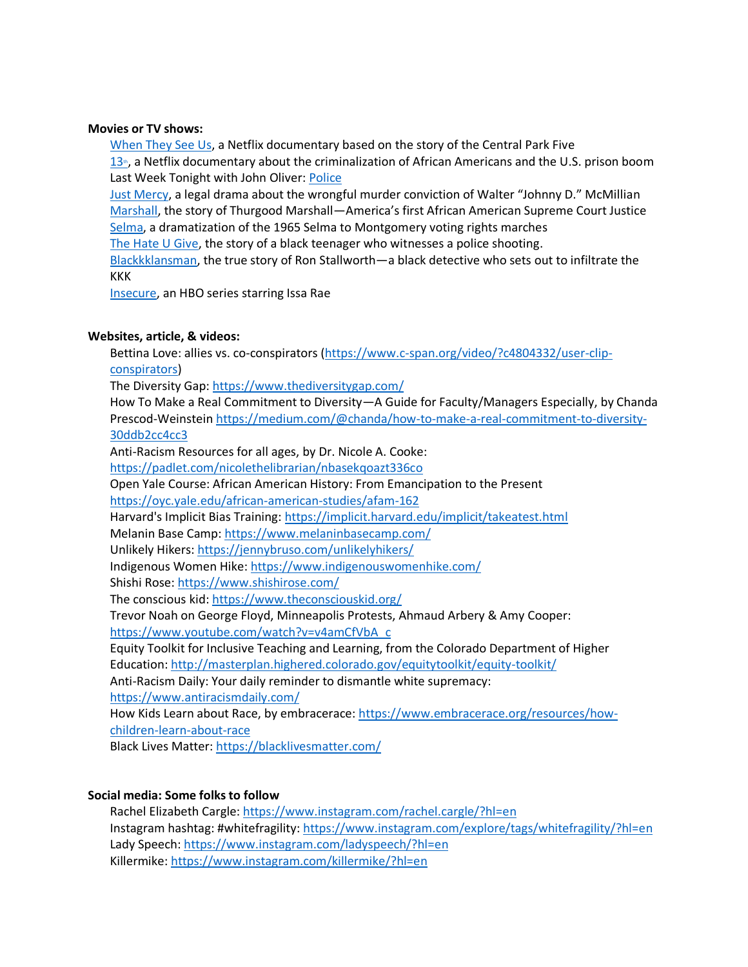### **Movies or TV shows:**

[When They See Us,](https://www.netflix.com/title/80200549) a Netflix documentary based on the story of the Central Park Five  $13<sub>th</sub>$  $13<sub>th</sub>$ [,](https://www.netflix.com/title/80091741) a Netflix documentary about the criminalization of African Americans and the U.S. prison boom Last Week Tonight with John Oliver: [Police](https://www.youtube.com/watch?v=Wf4cea5oObY)

[Just Mercy](https://www.justmercyfilm.com/), a legal drama about the wrongful murder conviction of Walter "Johnny D." McMillian [Marshall,](http://marshallmovie.com/) the story of Thurgood Marshall—America's first African American Supreme Court Justice [Selma,](https://vupulse.com/c/5354) a dramatization of the 1965 Selma to Montgomery voting rights marches

[The Hate U Give,](https://www.youtube.com/watch?v=3MM8OkVT0hw) the story of a black teenager who witnesses a police shooting.

[Blackkklansman,](https://www.youtube.com/watch?v=pFc6I0rgmgY) the true story of Ron Stallworth—a black detective who sets out to infiltrate the KKK

[Insecure,](https://www.hbo.com/insecure) an HBO series starring Issa Rae

### **Websites, article, & videos:**

Bettina Love: allies vs. co-conspirators [\(https://www.c-span.org/video/?c4804332/user-clip](https://www.c-span.org/video/?c4804332/user-clip-conspirators)[conspirators\)](https://www.c-span.org/video/?c4804332/user-clip-conspirators)

The Diversity Gap: <https://www.thediversitygap.com/>

How To Make a Real Commitment to Diversity—A Guide for Faculty/Managers Especially, by Chanda Prescod-Weinstein [https://medium.com/@chanda/how-to-make-a-real-commitment-to-diversity-](https://medium.com/@chanda/how-to-make-a-real-commitment-to-diversity-30ddb2cc4cc3)[30ddb2cc4cc3](https://medium.com/@chanda/how-to-make-a-real-commitment-to-diversity-30ddb2cc4cc3)

Anti-Racism Resources for all ages, by Dr. Nicole A. Cooke: <https://padlet.com/nicolethelibrarian/nbasekqoazt336co> Open Yale Course: African American History: From Emancipation to the Present <https://oyc.yale.edu/african-american-studies/afam-162> Harvard's Implicit Bias Training: <https://implicit.harvard.edu/implicit/takeatest.html> Melanin Base Camp: <https://www.melaninbasecamp.com/> Unlikely Hikers: <https://jennybruso.com/unlikelyhikers/> Indigenous Women Hike: <https://www.indigenouswomenhike.com/> Shishi Rose: <https://www.shishirose.com/> The conscious kid: <https://www.theconsciouskid.org/> Trevor Noah on George Floyd, Minneapolis Protests, Ahmaud Arbery & Amy Cooper: [https://www.youtube.com/watch?v=v4amCfVbA\\_c](https://www.youtube.com/watch?v=v4amCfVbA_c) Equity Toolkit for Inclusive Teaching and Learning, from the Colorado Department of Higher Education: <http://masterplan.highered.colorado.gov/equitytoolkit/equity-toolkit/> Anti-Racism Daily: Your daily reminder to dismantle white supremacy: <https://www.antiracismdaily.com/> How Kids Learn about Race, by embracerace: [https://www.embracerace.org/resources/how](https://www.embracerace.org/resources/how-children-learn-about-race)[children-learn-about-race](https://www.embracerace.org/resources/how-children-learn-about-race) Black Lives Matter: <https://blacklivesmatter.com/>

#### **Social media: Some folks to follow**

Rachel Elizabeth Cargle: <https://www.instagram.com/rachel.cargle/?hl=en> Instagram hashtag: #whitefragility: <https://www.instagram.com/explore/tags/whitefragility/?hl=en> Lady Speech: <https://www.instagram.com/ladyspeech/?hl=en> Killermike: <https://www.instagram.com/killermike/?hl=en>